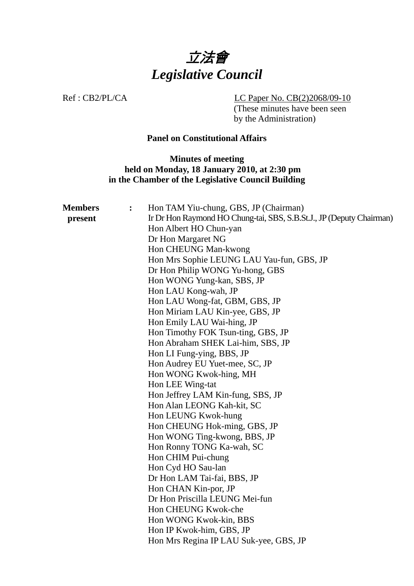

Ref : CB2/PL/CA LC Paper No. CB(2)2068/09-10

(These minutes have been seen by the Administration)

# **Panel on Constitutional Affairs**

**Minutes of meeting held on Monday, 18 January 2010, at 2:30 pm in the Chamber of the Legislative Council Building** 

| <b>Members</b> | $\ddot{\cdot}$ | Hon TAM Yiu-chung, GBS, JP (Chairman)                                |
|----------------|----------------|----------------------------------------------------------------------|
| present        |                | Ir Dr Hon Raymond HO Chung-tai, SBS, S.B.St.J., JP (Deputy Chairman) |
|                |                | Hon Albert HO Chun-yan                                               |
|                |                | Dr Hon Margaret NG                                                   |
|                |                | Hon CHEUNG Man-kwong                                                 |
|                |                | Hon Mrs Sophie LEUNG LAU Yau-fun, GBS, JP                            |
|                |                | Dr Hon Philip WONG Yu-hong, GBS                                      |
|                |                | Hon WONG Yung-kan, SBS, JP                                           |
|                |                | Hon LAU Kong-wah, JP                                                 |
|                |                | Hon LAU Wong-fat, GBM, GBS, JP                                       |
|                |                | Hon Miriam LAU Kin-yee, GBS, JP                                      |
|                |                | Hon Emily LAU Wai-hing, JP                                           |
|                |                | Hon Timothy FOK Tsun-ting, GBS, JP                                   |
|                |                | Hon Abraham SHEK Lai-him, SBS, JP                                    |
|                |                | Hon LI Fung-ying, BBS, JP                                            |
|                |                | Hon Audrey EU Yuet-mee, SC, JP                                       |
|                |                | Hon WONG Kwok-hing, MH                                               |
|                |                | Hon LEE Wing-tat                                                     |
|                |                | Hon Jeffrey LAM Kin-fung, SBS, JP                                    |
|                |                | Hon Alan LEONG Kah-kit, SC                                           |
|                |                | Hon LEUNG Kwok-hung                                                  |
|                |                | Hon CHEUNG Hok-ming, GBS, JP                                         |
|                |                | Hon WONG Ting-kwong, BBS, JP                                         |
|                |                | Hon Ronny TONG Ka-wah, SC                                            |
|                |                | Hon CHIM Pui-chung                                                   |
|                |                | Hon Cyd HO Sau-lan                                                   |
|                |                | Dr Hon LAM Tai-fai, BBS, JP                                          |
|                |                | Hon CHAN Kin-por, JP                                                 |
|                |                | Dr Hon Priscilla LEUNG Mei-fun                                       |
|                |                | Hon CHEUNG Kwok-che                                                  |
|                |                | Hon WONG Kwok-kin, BBS                                               |
|                |                | Hon IP Kwok-him, GBS, JP                                             |
|                |                | Hon Mrs Regina IP LAU Suk-yee, GBS, JP                               |
|                |                |                                                                      |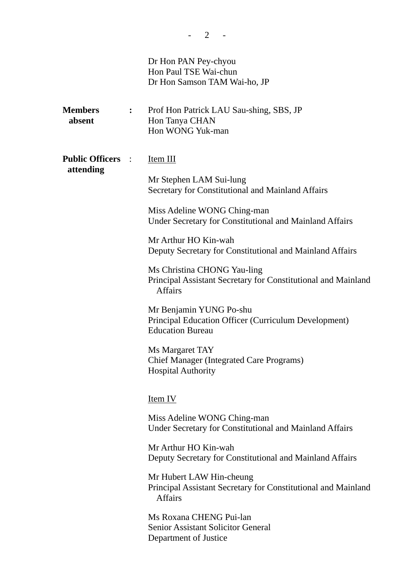|                                       |                  | Dr Hon PAN Pey-chyou<br>Hon Paul TSE Wai-chun<br>Dr Hon Samson TAM Wai-ho, JP                                                                                                                                                                                                                                                                                                                                                                                                                                                                                                       |
|---------------------------------------|------------------|-------------------------------------------------------------------------------------------------------------------------------------------------------------------------------------------------------------------------------------------------------------------------------------------------------------------------------------------------------------------------------------------------------------------------------------------------------------------------------------------------------------------------------------------------------------------------------------|
| <b>Members</b><br>absent              | $\ddot{\bullet}$ | Prof Hon Patrick LAU Sau-shing, SBS, JP<br>Hon Tanya CHAN<br>Hon WONG Yuk-man                                                                                                                                                                                                                                                                                                                                                                                                                                                                                                       |
| <b>Public Officers :</b><br>attending |                  | Item III<br>Mr Stephen LAM Sui-lung<br>Secretary for Constitutional and Mainland Affairs<br>Miss Adeline WONG Ching-man<br>Under Secretary for Constitutional and Mainland Affairs<br>Mr Arthur HO Kin-wah<br>Deputy Secretary for Constitutional and Mainland Affairs<br>Ms Christina CHONG Yau-ling<br>Principal Assistant Secretary for Constitutional and Mainland<br><b>Affairs</b><br>Mr Benjamin YUNG Po-shu<br><b>Principal Education Officer (Curriculum Development)</b><br><b>Education Bureau</b><br>Ms Margaret TAY<br><b>Chief Manager (Integrated Care Programs)</b> |
|                                       |                  | <b>Hospital Authority</b><br><u>Item IV</u><br>Miss Adeline WONG Ching-man<br>Under Secretary for Constitutional and Mainland Affairs<br>Mr Arthur HO Kin-wah<br>Deputy Secretary for Constitutional and Mainland Affairs<br>Mr Hubert LAW Hin-cheung<br>Principal Assistant Secretary for Constitutional and Mainland<br><b>Affairs</b><br>Ms Roxana CHENG Pui-lan<br><b>Senior Assistant Solicitor General</b><br>Department of Justice                                                                                                                                           |

 $- 2 - -$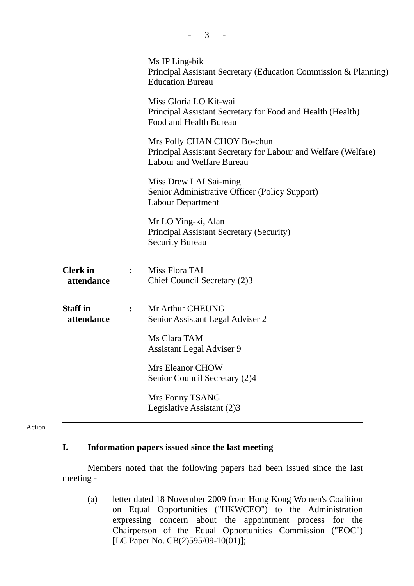| Ms IP Ling-bik<br>Principal Assistant Secretary (Education Commission & Planning)<br><b>Education Bureau</b>                      |
|-----------------------------------------------------------------------------------------------------------------------------------|
| Miss Gloria LO Kit-wai<br>Principal Assistant Secretary for Food and Health (Health)<br>Food and Health Bureau                    |
| Mrs Polly CHAN CHOY Bo-chun<br>Principal Assistant Secretary for Labour and Welfare (Welfare)<br><b>Labour and Welfare Bureau</b> |
| Miss Drew LAI Sai-ming<br>Senior Administrative Officer (Policy Support)<br><b>Labour Department</b>                              |
| Mr LO Ying-ki, Alan<br><b>Principal Assistant Secretary (Security)</b><br><b>Security Bureau</b>                                  |
| Miss Flora TAI<br>$\mathbf{L}$<br>Chief Council Secretary (2)3                                                                    |
| Mr Arthur CHEUNG<br>Senior Assistant Legal Adviser 2                                                                              |
| Ms Clara TAM<br><b>Assistant Legal Adviser 9</b>                                                                                  |
| <b>Mrs Eleanor CHOW</b><br>Senior Council Secretary (2)4                                                                          |
| Mrs Fonny TSANG<br>Legislative Assistant (2)3                                                                                     |
|                                                                                                                                   |

 $- 3 - 1$ 

### Action

## **I. Information papers issued since the last meeting**

1. Members noted that the following papers had been issued since the last meeting -

(a) letter dated 18 November 2009 from Hong Kong Women's Coalition on Equal Opportunities ("HKWCEO") to the Administration expressing concern about the appointment process for the Chairperson of the Equal Opportunities Commission ("EOC") [LC Paper No. CB(2)595/09-10(01)];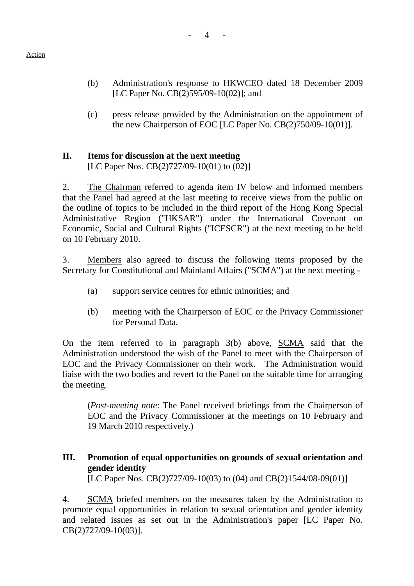- (b) Administration's response to HKWCEO dated 18 December 2009 [LC Paper No. CB(2)595/09-10(02)]; and
- (c) press release provided by the Administration on the appointment of the new Chairperson of EOC [LC Paper No. CB(2)750/09-10(01)].

# **II. Items for discussion at the next meeting**

[LC Paper Nos. CB(2)727/09-10(01) to (02)]

2. The Chairman referred to agenda item IV below and informed members that the Panel had agreed at the last meeting to receive views from the public on the outline of topics to be included in the third report of the Hong Kong Special Administrative Region ("HKSAR") under the International Covenant on Economic, Social and Cultural Rights ("ICESCR") at the next meeting to be held on 10 February 2010.

3. Members also agreed to discuss the following items proposed by the Secretary for Constitutional and Mainland Affairs ("SCMA") at the next meeting -

- (a) support service centres for ethnic minorities; and
- (b) meeting with the Chairperson of EOC or the Privacy Commissioner for Personal Data.

On the item referred to in paragraph 3(b) above, SCMA said that the Administration understood the wish of the Panel to meet with the Chairperson of EOC and the Privacy Commissioner on their work. The Administration would liaise with the two bodies and revert to the Panel on the suitable time for arranging the meeting.

(*Post-meeting note*: The Panel received briefings from the Chairperson of EOC and the Privacy Commissioner at the meetings on 10 February and 19 March 2010 respectively.)

# **III. Promotion of equal opportunities on grounds of sexual orientation and gender identity**

[LC Paper Nos. CB(2)727/09-10(03) to (04) and CB(2)1544/08-09(01)]

4. SCMA briefed members on the measures taken by the Administration to promote equal opportunities in relation to sexual orientation and gender identity and related issues as set out in the Administration's paper [LC Paper No. CB(2)727/09-10(03)].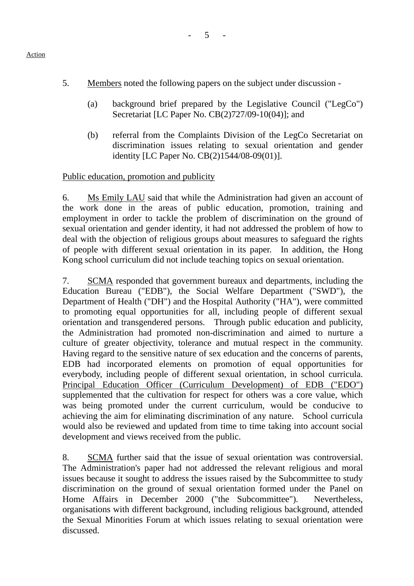- 5. Members noted the following papers on the subject under discussion
	- (a) background brief prepared by the Legislative Council ("LegCo") Secretariat [LC Paper No. CB(2)727/09-10(04)]; and
	- (b) referral from the Complaints Division of the LegCo Secretariat on discrimination issues relating to sexual orientation and gender identity [LC Paper No. CB(2)1544/08-09(01)].

## Public education, promotion and publicity

6. Ms Emily LAU said that while the Administration had given an account of the work done in the areas of public education, promotion, training and employment in order to tackle the problem of discrimination on the ground of sexual orientation and gender identity, it had not addressed the problem of how to deal with the objection of religious groups about measures to safeguard the rights of people with different sexual orientation in its paper. In addition, the Hong Kong school curriculum did not include teaching topics on sexual orientation.

7. SCMA responded that government bureaux and departments, including the Education Bureau ("EDB"), the Social Welfare Department ("SWD"), the Department of Health ("DH") and the Hospital Authority ("HA"), were committed to promoting equal opportunities for all, including people of different sexual orientation and transgendered persons. Through public education and publicity, the Administration had promoted non-discrimination and aimed to nurture a culture of greater objectivity, tolerance and mutual respect in the community. Having regard to the sensitive nature of sex education and the concerns of parents, EDB had incorporated elements on promotion of equal opportunities for everybody, including people of different sexual orientation, in school curricula. Principal Education Officer (Curriculum Development) of EDB ("EDO") supplemented that the cultivation for respect for others was a core value, which was being promoted under the current curriculum, would be conducive to achieving the aim for eliminating discrimination of any nature. School curricula would also be reviewed and updated from time to time taking into account social development and views received from the public.

8. SCMA further said that the issue of sexual orientation was controversial. The Administration's paper had not addressed the relevant religious and moral issues because it sought to address the issues raised by the Subcommittee to study discrimination on the ground of sexual orientation formed under the Panel on Home Affairs in December 2000 ("the Subcommittee"). Nevertheless, organisations with different background, including religious background, attended the Sexual Minorities Forum at which issues relating to sexual orientation were discussed.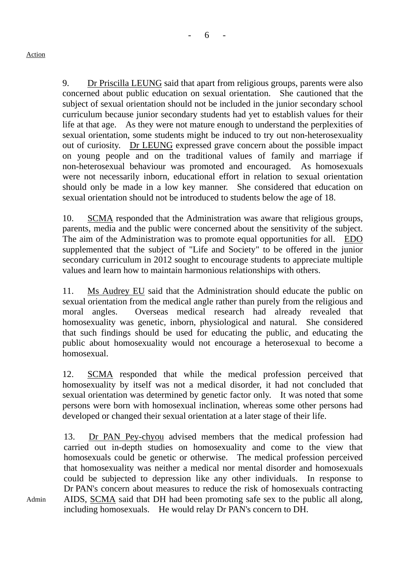Admin

9. Dr Priscilla LEUNG said that apart from religious groups, parents were also concerned about public education on sexual orientation. She cautioned that the subject of sexual orientation should not be included in the junior secondary school curriculum because junior secondary students had yet to establish values for their life at that age. As they were not mature enough to understand the perplexities of sexual orientation, some students might be induced to try out non-heterosexuality out of curiosity. Dr LEUNG expressed grave concern about the possible impact on young people and on the traditional values of family and marriage if non-heterosexual behaviour was promoted and encouraged. As homosexuals were not necessarily inborn, educational effort in relation to sexual orientation should only be made in a low key manner. She considered that education on sexual orientation should not be introduced to students below the age of 18.

6

10. SCMA responded that the Administration was aware that religious groups, parents, media and the public were concerned about the sensitivity of the subject. The aim of the Administration was to promote equal opportunities for all. EDO supplemented that the subject of "Life and Society" to be offered in the junior secondary curriculum in 2012 sought to encourage students to appreciate multiple values and learn how to maintain harmonious relationships with others.

11. Ms Audrey EU said that the Administration should educate the public on sexual orientation from the medical angle rather than purely from the religious and moral angles. Overseas medical research had already revealed that homosexuality was genetic, inborn, physiological and natural. She considered that such findings should be used for educating the public, and educating the public about homosexuality would not encourage a heterosexual to become a homosexual.

12. SCMA responded that while the medical profession perceived that homosexuality by itself was not a medical disorder, it had not concluded that sexual orientation was determined by genetic factor only. It was noted that some persons were born with homosexual inclination, whereas some other persons had developed or changed their sexual orientation at a later stage of their life.

13. Dr PAN Pey-chyou advised members that the medical profession had carried out in-depth studies on homosexuality and come to the view that homosexuals could be genetic or otherwise. The medical profession perceived that homosexuality was neither a medical nor mental disorder and homosexuals could be subjected to depression like any other individuals. In response to Dr PAN's concern about measures to reduce the risk of homosexuals contracting AIDS, SCMA said that DH had been promoting safe sex to the public all along, including homosexuals. He would relay Dr PAN's concern to DH.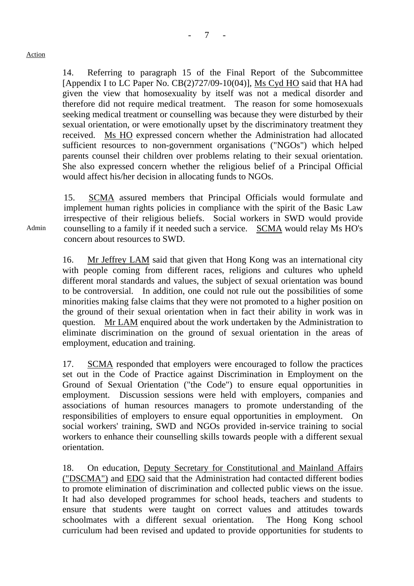14. Referring to paragraph 15 of the Final Report of the Subcommittee [Appendix I to LC Paper No. CB(2)727/09-10(04)], Ms Cyd HO said that HA had given the view that homosexuality by itself was not a medical disorder and therefore did not require medical treatment. The reason for some homosexuals seeking medical treatment or counselling was because they were disturbed by their sexual orientation, or were emotionally upset by the discriminatory treatment they received. Ms HO expressed concern whether the Administration had allocated sufficient resources to non-government organisations ("NGOs") which helped parents counsel their children over problems relating to their sexual orientation. She also expressed concern whether the religious belief of a Principal Official would affect his/her decision in allocating funds to NGOs.

15. SCMA assured members that Principal Officials would formulate and implement human rights policies in compliance with the spirit of the Basic Law irrespective of their religious beliefs. Social workers in SWD would provide counselling to a family if it needed such a service. SCMA would relay Ms HO's concern about resources to SWD.

16. Mr Jeffrey LAM said that given that Hong Kong was an international city with people coming from different races, religions and cultures who upheld different moral standards and values, the subject of sexual orientation was bound to be controversial. In addition, one could not rule out the possibilities of some minorities making false claims that they were not promoted to a higher position on the ground of their sexual orientation when in fact their ability in work was in question. Mr LAM enquired about the work undertaken by the Administration to eliminate discrimination on the ground of sexual orientation in the areas of employment, education and training.

17. SCMA responded that employers were encouraged to follow the practices set out in the Code of Practice against Discrimination in Employment on the Ground of Sexual Orientation ("the Code") to ensure equal opportunities in employment. Discussion sessions were held with employers, companies and associations of human resources managers to promote understanding of the responsibilities of employers to ensure equal opportunities in employment. On social workers' training, SWD and NGOs provided in-service training to social workers to enhance their counselling skills towards people with a different sexual orientation.

18. On education, Deputy Secretary for Constitutional and Mainland Affairs ("DSCMA") and EDO said that the Administration had contacted different bodies to promote elimination of discrimination and collected public views on the issue. It had also developed programmes for school heads, teachers and students to ensure that students were taught on correct values and attitudes towards schoolmates with a different sexual orientation. The Hong Kong school curriculum had been revised and updated to provide opportunities for students to

Admin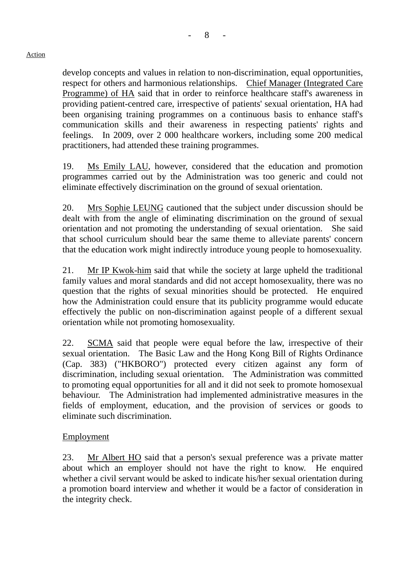develop concepts and values in relation to non-discrimination, equal opportunities, respect for others and harmonious relationships. Chief Manager (Integrated Care Programme) of HA said that in order to reinforce healthcare staff's awareness in providing patient-centred care, irrespective of patients' sexual orientation, HA had been organising training programmes on a continuous basis to enhance staff's communication skills and their awareness in respecting patients' rights and feelings. In 2009, over 2 000 healthcare workers, including some 200 medical practitioners, had attended these training programmes.

19. Ms Emily LAU, however, considered that the education and promotion programmes carried out by the Administration was too generic and could not eliminate effectively discrimination on the ground of sexual orientation.

20. Mrs Sophie LEUNG cautioned that the subject under discussion should be dealt with from the angle of eliminating discrimination on the ground of sexual orientation and not promoting the understanding of sexual orientation. She said that school curriculum should bear the same theme to alleviate parents' concern that the education work might indirectly introduce young people to homosexuality.

21. Mr IP Kwok-him said that while the society at large upheld the traditional family values and moral standards and did not accept homosexuality, there was no question that the rights of sexual minorities should be protected. He enquired how the Administration could ensure that its publicity programme would educate effectively the public on non-discrimination against people of a different sexual orientation while not promoting homosexuality.

22. SCMA said that people were equal before the law, irrespective of their sexual orientation. The Basic Law and the Hong Kong Bill of Rights Ordinance (Cap. 383) ("HKBORO") protected every citizen against any form of discrimination, including sexual orientation. The Administration was committed to promoting equal opportunities for all and it did not seek to promote homosexual behaviour. The Administration had implemented administrative measures in the fields of employment, education, and the provision of services or goods to eliminate such discrimination.

## Employment

23. Mr Albert HO said that a person's sexual preference was a private matter about which an employer should not have the right to know. He enquired whether a civil servant would be asked to indicate his/her sexual orientation during a promotion board interview and whether it would be a factor of consideration in the integrity check.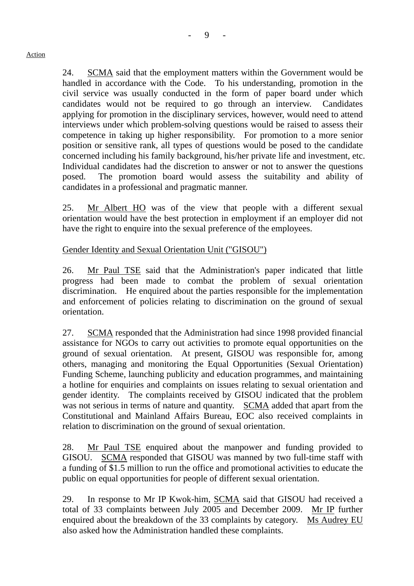24. SCMA said that the employment matters within the Government would be handled in accordance with the Code. To his understanding, promotion in the civil service was usually conducted in the form of paper board under which candidates would not be required to go through an interview. Candidates applying for promotion in the disciplinary services, however, would need to attend interviews under which problem-solving questions would be raised to assess their competence in taking up higher responsibility. For promotion to a more senior position or sensitive rank, all types of questions would be posed to the candidate concerned including his family background, his/her private life and investment, etc. Individual candidates had the discretion to answer or not to answer the questions posed. The promotion board would assess the suitability and ability of candidates in a professional and pragmatic manner.

25. Mr Albert HO was of the view that people with a different sexual orientation would have the best protection in employment if an employer did not have the right to enquire into the sexual preference of the employees.

## Gender Identity and Sexual Orientation Unit ("GISOU")

26. Mr Paul TSE said that the Administration's paper indicated that little progress had been made to combat the problem of sexual orientation discrimination. He enquired about the parties responsible for the implementation and enforcement of policies relating to discrimination on the ground of sexual orientation.

27. SCMA responded that the Administration had since 1998 provided financial assistance for NGOs to carry out activities to promote equal opportunities on the ground of sexual orientation. At present, GISOU was responsible for, among others, managing and monitoring the Equal Opportunities (Sexual Orientation) Funding Scheme, launching publicity and education programmes, and maintaining a hotline for enquiries and complaints on issues relating to sexual orientation and gender identity. The complaints received by GISOU indicated that the problem was not serious in terms of nature and quantity. SCMA added that apart from the Constitutional and Mainland Affairs Bureau, EOC also received complaints in relation to discrimination on the ground of sexual orientation.

28. Mr Paul TSE enquired about the manpower and funding provided to GISOU. SCMA responded that GISOU was manned by two full-time staff with a funding of \$1.5 million to run the office and promotional activities to educate the public on equal opportunities for people of different sexual orientation.

29. In response to Mr IP Kwok-him, SCMA said that GISOU had received a total of 33 complaints between July 2005 and December 2009. Mr IP further enquired about the breakdown of the 33 complaints by category. Ms Audrey EU also asked how the Administration handled these complaints.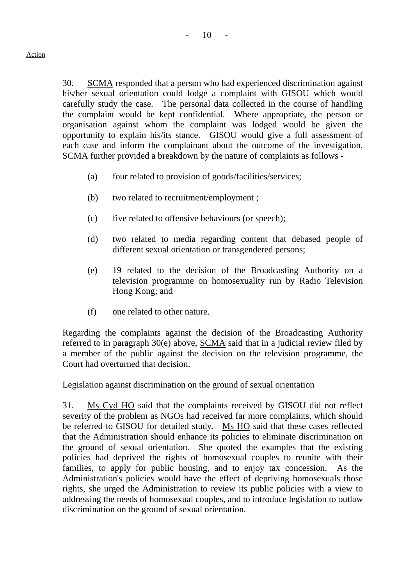30. SCMA responded that a person who had experienced discrimination against his/her sexual orientation could lodge a complaint with GISOU which would carefully study the case. The personal data collected in the course of handling the complaint would be kept confidential. Where appropriate, the person or organisation against whom the complaint was lodged would be given the opportunity to explain his/its stance. GISOU would give a full assessment of each case and inform the complainant about the outcome of the investigation. SCMA further provided a breakdown by the nature of complaints as follows -

- (a) four related to provision of goods/facilities/services;
- (b) two related to recruitment/employment ;
- (c) five related to offensive behaviours (or speech);
- (d) two related to media regarding content that debased people of different sexual orientation or transgendered persons;
- (e) 19 related to the decision of the Broadcasting Authority on a television programme on homosexuality run by Radio Television Hong Kong; and
- (f) one related to other nature.

Regarding the complaints against the decision of the Broadcasting Authority referred to in paragraph 30(e) above, SCMA said that in a judicial review filed by a member of the public against the decision on the television programme, the Court had overturned that decision.

### Legislation against discrimination on the ground of sexual orientation

31. Ms Cyd HO said that the complaints received by GISOU did not reflect severity of the problem as NGOs had received far more complaints, which should be referred to GISOU for detailed study. Ms HO said that these cases reflected that the Administration should enhance its policies to eliminate discrimination on the ground of sexual orientation. She quoted the examples that the existing policies had deprived the rights of homosexual couples to reunite with their families, to apply for public housing, and to enjoy tax concession. As the Administration's policies would have the effect of depriving homosexuals those rights, she urged the Administration to review its public policies with a view to addressing the needs of homosexual couples, and to introduce legislation to outlaw discrimination on the ground of sexual orientation.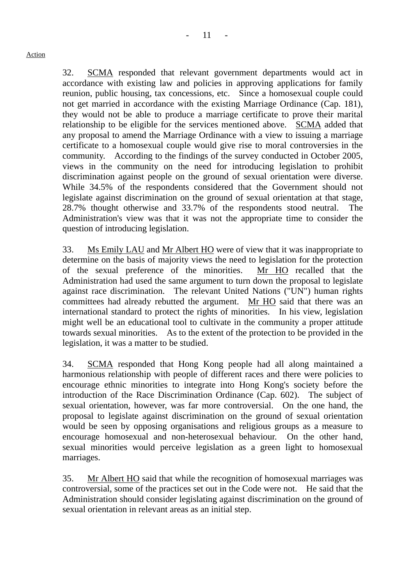32. SCMA responded that relevant government departments would act in accordance with existing law and policies in approving applications for family reunion, public housing, tax concessions, etc. Since a homosexual couple could not get married in accordance with the existing Marriage Ordinance (Cap. 181), they would not be able to produce a marriage certificate to prove their marital relationship to be eligible for the services mentioned above. SCMA added that any proposal to amend the Marriage Ordinance with a view to issuing a marriage certificate to a homosexual couple would give rise to moral controversies in the community. According to the findings of the survey conducted in October 2005, views in the community on the need for introducing legislation to prohibit discrimination against people on the ground of sexual orientation were diverse. While 34.5% of the respondents considered that the Government should not legislate against discrimination on the ground of sexual orientation at that stage, 28.7% thought otherwise and 33.7% of the respondents stood neutral. The Administration's view was that it was not the appropriate time to consider the question of introducing legislation.

33. Ms Emily LAU and Mr Albert HO were of view that it was inappropriate to determine on the basis of majority views the need to legislation for the protection of the sexual preference of the minorities. Mr HO recalled that the Administration had used the same argument to turn down the proposal to legislate against race discrimination. The relevant United Nations ("UN") human rights committees had already rebutted the argument. Mr HO said that there was an international standard to protect the rights of minorities. In his view, legislation might well be an educational tool to cultivate in the community a proper attitude towards sexual minorities. As to the extent of the protection to be provided in the legislation, it was a matter to be studied.

34. SCMA responded that Hong Kong people had all along maintained a harmonious relationship with people of different races and there were policies to encourage ethnic minorities to integrate into Hong Kong's society before the introduction of the Race Discrimination Ordinance (Cap. 602). The subject of sexual orientation, however, was far more controversial. On the one hand, the proposal to legislate against discrimination on the ground of sexual orientation would be seen by opposing organisations and religious groups as a measure to encourage homosexual and non-heterosexual behaviour. On the other hand, sexual minorities would perceive legislation as a green light to homosexual marriages.

35. Mr Albert HO said that while the recognition of homosexual marriages was controversial, some of the practices set out in the Code were not. He said that the Administration should consider legislating against discrimination on the ground of sexual orientation in relevant areas as an initial step.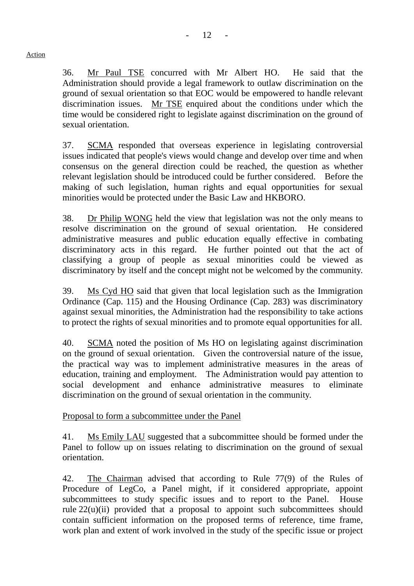36. Mr Paul TSE concurred with Mr Albert HO. He said that the Administration should provide a legal framework to outlaw discrimination on the ground of sexual orientation so that EOC would be empowered to handle relevant discrimination issues. Mr TSE enquired about the conditions under which the time would be considered right to legislate against discrimination on the ground of sexual orientation.

37. SCMA responded that overseas experience in legislating controversial issues indicated that people's views would change and develop over time and when consensus on the general direction could be reached, the question as whether relevant legislation should be introduced could be further considered. Before the making of such legislation, human rights and equal opportunities for sexual minorities would be protected under the Basic Law and HKBORO.

38. Dr Philip WONG held the view that legislation was not the only means to resolve discrimination on the ground of sexual orientation. He considered administrative measures and public education equally effective in combating discriminatory acts in this regard. He further pointed out that the act of classifying a group of people as sexual minorities could be viewed as discriminatory by itself and the concept might not be welcomed by the community.

39. Ms Cyd HO said that given that local legislation such as the Immigration Ordinance (Cap. 115) and the Housing Ordinance (Cap. 283) was discriminatory against sexual minorities, the Administration had the responsibility to take actions to protect the rights of sexual minorities and to promote equal opportunities for all.

40. SCMA noted the position of Ms HO on legislating against discrimination on the ground of sexual orientation. Given the controversial nature of the issue, the practical way was to implement administrative measures in the areas of education, training and employment. The Administration would pay attention to social development and enhance administrative measures to eliminate discrimination on the ground of sexual orientation in the community.

Proposal to form a subcommittee under the Panel

41. Ms Emily LAU suggested that a subcommittee should be formed under the Panel to follow up on issues relating to discrimination on the ground of sexual orientation.

42. The Chairman advised that according to Rule 77(9) of the Rules of Procedure of LegCo, a Panel might, if it considered appropriate, appoint subcommittees to study specific issues and to report to the Panel. House rule  $22(u)(ii)$  provided that a proposal to appoint such subcommittees should contain sufficient information on the proposed terms of reference, time frame, work plan and extent of work involved in the study of the specific issue or project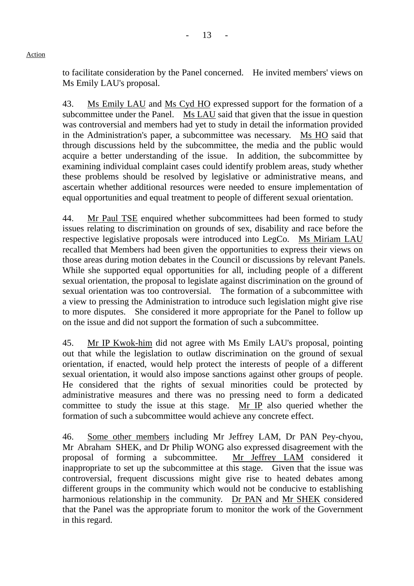to facilitate consideration by the Panel concerned. He invited members' views on Ms Emily LAU's proposal.

43. Ms Emily LAU and Ms Cyd HO expressed support for the formation of a subcommittee under the Panel. Ms LAU said that given that the issue in question was controversial and members had yet to study in detail the information provided in the Administration's paper, a subcommittee was necessary. Ms HO said that through discussions held by the subcommittee, the media and the public would acquire a better understanding of the issue. In addition, the subcommittee by examining individual complaint cases could identify problem areas, study whether these problems should be resolved by legislative or administrative means, and ascertain whether additional resources were needed to ensure implementation of equal opportunities and equal treatment to people of different sexual orientation.

44. Mr Paul TSE enquired whether subcommittees had been formed to study issues relating to discrimination on grounds of sex, disability and race before the respective legislative proposals were introduced into LegCo. Ms Miriam LAU recalled that Members had been given the opportunities to express their views on those areas during motion debates in the Council or discussions by relevant Panels. While she supported equal opportunities for all, including people of a different sexual orientation, the proposal to legislate against discrimination on the ground of sexual orientation was too controversial. The formation of a subcommittee with a view to pressing the Administration to introduce such legislation might give rise to more disputes. She considered it more appropriate for the Panel to follow up on the issue and did not support the formation of such a subcommittee.

45. Mr IP Kwok-him did not agree with Ms Emily LAU's proposal, pointing out that while the legislation to outlaw discrimination on the ground of sexual orientation, if enacted, would help protect the interests of people of a different sexual orientation, it would also impose sanctions against other groups of people. He considered that the rights of sexual minorities could be protected by administrative measures and there was no pressing need to form a dedicated committee to study the issue at this stage. Mr IP also queried whether the formation of such a subcommittee would achieve any concrete effect.

46. Some other members including Mr Jeffrey LAM, Dr PAN Pey-chyou, Mr Abraham SHEK, and Dr Philip WONG also expressed disagreement with the proposal of forming a subcommittee. Mr Jeffrey LAM considered it inappropriate to set up the subcommittee at this stage. Given that the issue was controversial, frequent discussions might give rise to heated debates among different groups in the community which would not be conducive to establishing harmonious relationship in the community. Dr PAN and Mr SHEK considered that the Panel was the appropriate forum to monitor the work of the Government in this regard.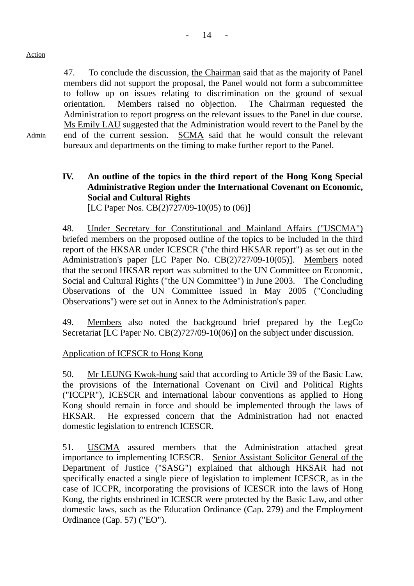47. To conclude the discussion, the Chairman said that as the majority of Panel members did not support the proposal, the Panel would not form a subcommittee to follow up on issues relating to discrimination on the ground of sexual orientation. Members raised no objection. The Chairman requested the Administration to report progress on the relevant issues to the Panel in due course. Ms Emily LAU suggested that the Administration would revert to the Panel by the end of the current session. SCMA said that he would consult the relevant bureaux and departments on the timing to make further report to the Panel.

# Admin

# **IV. An outline of the topics in the third report of the Hong Kong Special Administrative Region under the International Covenant on Economic, Social and Cultural Rights**

[LC Paper Nos. CB(2)727/09-10(05) to (06)]

48. Under Secretary for Constitutional and Mainland Affairs ("USCMA") briefed members on the proposed outline of the topics to be included in the third report of the HKSAR under ICESCR ("the third HKSAR report") as set out in the Administration's paper [LC Paper No. CB(2)727/09-10(05)]. Members noted that the second HKSAR report was submitted to the UN Committee on Economic, Social and Cultural Rights ("the UN Committee") in June 2003. The Concluding Observations of the UN Committee issued in May 2005 ("Concluding Observations") were set out in Annex to the Administration's paper.

49. Members also noted the background brief prepared by the LegCo Secretariat [LC Paper No. CB(2)727/09-10(06)] on the subject under discussion.

## Application of ICESCR to Hong Kong

50. Mr LEUNG Kwok-hung said that according to Article 39 of the Basic Law, the provisions of the International Covenant on Civil and Political Rights ("ICCPR"), ICESCR and international labour conventions as applied to Hong Kong should remain in force and should be implemented through the laws of HKSAR. He expressed concern that the Administration had not enacted domestic legislation to entrench ICESCR.

51. USCMA assured members that the Administration attached great importance to implementing ICESCR. Senior Assistant Solicitor General of the Department of Justice ("SASG") explained that although HKSAR had not specifically enacted a single piece of legislation to implement ICESCR, as in the case of ICCPR, incorporating the provisions of ICESCR into the laws of Hong Kong, the rights enshrined in ICESCR were protected by the Basic Law, and other domestic laws, such as the Education Ordinance (Cap. 279) and the Employment Ordinance (Cap. 57) ("EO").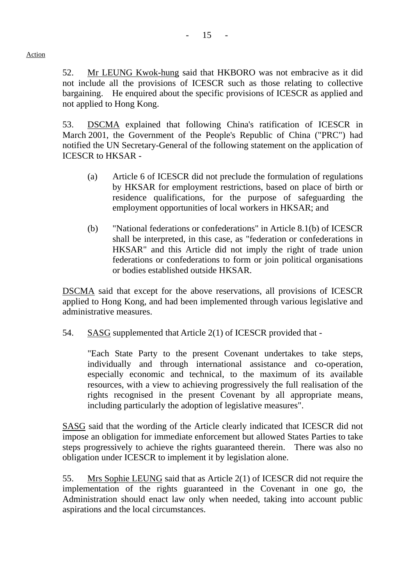52. Mr LEUNG Kwok-hung said that HKBORO was not embracive as it did not include all the provisions of ICESCR such as those relating to collective bargaining. He enquired about the specific provisions of ICESCR as applied and not applied to Hong Kong.

53. DSCMA explained that following China's ratification of ICESCR in March 2001, the Government of the People's Republic of China ("PRC") had notified the UN Secretary-General of the following statement on the application of ICESCR to HKSAR -

- (a) Article 6 of ICESCR did not preclude the formulation of regulations by HKSAR for employment restrictions, based on place of birth or residence qualifications, for the purpose of safeguarding the employment opportunities of local workers in HKSAR; and
- (b) "National federations or confederations" in Article 8.1(b) of ICESCR shall be interpreted, in this case, as "federation or confederations in HKSAR" and this Article did not imply the right of trade union federations or confederations to form or join political organisations or bodies established outside HKSAR.

DSCMA said that except for the above reservations, all provisions of ICESCR applied to Hong Kong, and had been implemented through various legislative and administrative measures.

54. SASG supplemented that Article 2(1) of ICESCR provided that -

"Each State Party to the present Covenant undertakes to take steps, individually and through international assistance and co-operation, especially economic and technical, to the maximum of its available resources, with a view to achieving progressively the full realisation of the rights recognised in the present Covenant by all appropriate means, including particularly the adoption of legislative measures".

SASG said that the wording of the Article clearly indicated that ICESCR did not impose an obligation for immediate enforcement but allowed States Parties to take steps progressively to achieve the rights guaranteed therein. There was also no obligation under ICESCR to implement it by legislation alone.

55. Mrs Sophie LEUNG said that as Article 2(1) of ICESCR did not require the implementation of the rights guaranteed in the Covenant in one go, the Administration should enact law only when needed, taking into account public aspirations and the local circumstances.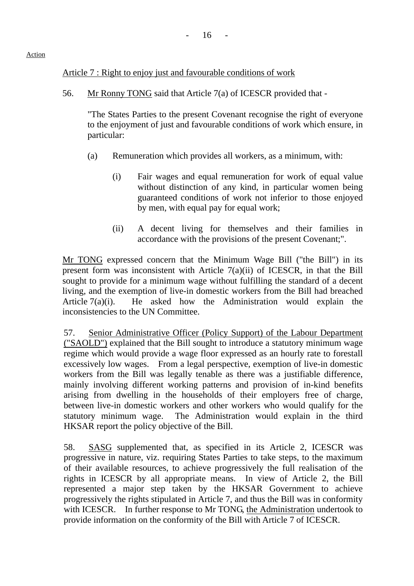## Article 7 : Right to enjoy just and favourable conditions of work

56. Mr Ronny TONG said that Article 7(a) of ICESCR provided that -

"The States Parties to the present Covenant recognise the right of everyone to the enjoyment of just and favourable conditions of work which ensure, in particular:

- (a) Remuneration which provides all workers, as a minimum, with:
	- (i) Fair wages and equal remuneration for work of equal value without distinction of any kind, in particular women being guaranteed conditions of work not inferior to those enjoyed by men, with equal pay for equal work;
	- (ii) A decent living for themselves and their families in accordance with the provisions of the present Covenant;".

Mr TONG expressed concern that the Minimum Wage Bill ("the Bill") in its present form was inconsistent with Article 7(a)(ii) of ICESCR, in that the Bill sought to provide for a minimum wage without fulfilling the standard of a decent living, and the exemption of live-in domestic workers from the Bill had breached Article 7(a)(i). He asked how the Administration would explain the inconsistencies to the UN Committee.

57. Senior Administrative Officer (Policy Support) of the Labour Department ("SAOLD") explained that the Bill sought to introduce a statutory minimum wage regime which would provide a wage floor expressed as an hourly rate to forestall excessively low wages. From a legal perspective, exemption of live-in domestic workers from the Bill was legally tenable as there was a justifiable difference, mainly involving different working patterns and provision of in-kind benefits arising from dwelling in the households of their employers free of charge, between live-in domestic workers and other workers who would qualify for the statutory minimum wage. The Administration would explain in the third HKSAR report the policy objective of the Bill.

58. SASG supplemented that, as specified in its Article 2, ICESCR was progressive in nature, viz. requiring States Parties to take steps, to the maximum of their available resources, to achieve progressively the full realisation of the rights in ICESCR by all appropriate means. In view of Article 2, the Bill represented a major step taken by the HKSAR Government to achieve progressively the rights stipulated in Article 7, and thus the Bill was in conformity with ICESCR. In further response to Mr TONG, the Administration undertook to provide information on the conformity of the Bill with Article 7 of ICESCR.

### Action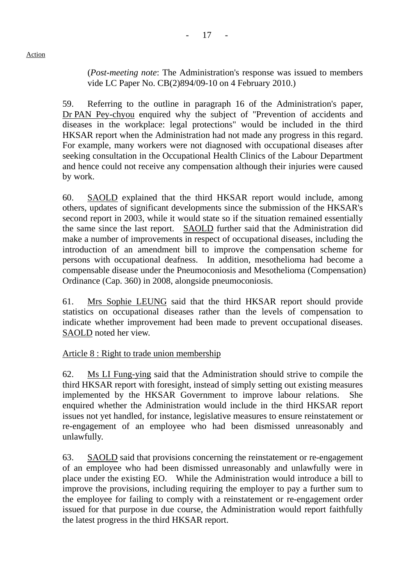(*Post-meeting note*: The Administration's response was issued to members vide LC Paper No. CB(2)894/09-10 on 4 February 2010.)

59. Referring to the outline in paragraph 16 of the Administration's paper, Dr PAN Pey-chyou enquired why the subject of "Prevention of accidents and diseases in the workplace: legal protections" would be included in the third HKSAR report when the Administration had not made any progress in this regard. For example, many workers were not diagnosed with occupational diseases after seeking consultation in the Occupational Health Clinics of the Labour Department and hence could not receive any compensation although their injuries were caused by work.

60. SAOLD explained that the third HKSAR report would include, among others, updates of significant developments since the submission of the HKSAR's second report in 2003, while it would state so if the situation remained essentially the same since the last report. SAOLD further said that the Administration did make a number of improvements in respect of occupational diseases, including the introduction of an amendment bill to improve the compensation scheme for persons with occupational deafness. In addition, mesothelioma had become a compensable disease under the Pneumoconiosis and Mesothelioma (Compensation) Ordinance (Cap. 360) in 2008, alongside pneumoconiosis.

61. Mrs Sophie LEUNG said that the third HKSAR report should provide statistics on occupational diseases rather than the levels of compensation to indicate whether improvement had been made to prevent occupational diseases. SAOLD noted her view.

## Article 8 : Right to trade union membership

62. Ms LI Fung-ying said that the Administration should strive to compile the third HKSAR report with foresight, instead of simply setting out existing measures implemented by the HKSAR Government to improve labour relations. She enquired whether the Administration would include in the third HKSAR report issues not yet handled, for instance, legislative measures to ensure reinstatement or re-engagement of an employee who had been dismissed unreasonably and unlawfully.

63. SAOLD said that provisions concerning the reinstatement or re-engagement of an employee who had been dismissed unreasonably and unlawfully were in place under the existing EO. While the Administration would introduce a bill to improve the provisions, including requiring the employer to pay a further sum to the employee for failing to comply with a reinstatement or re-engagement order issued for that purpose in due course, the Administration would report faithfully the latest progress in the third HKSAR report.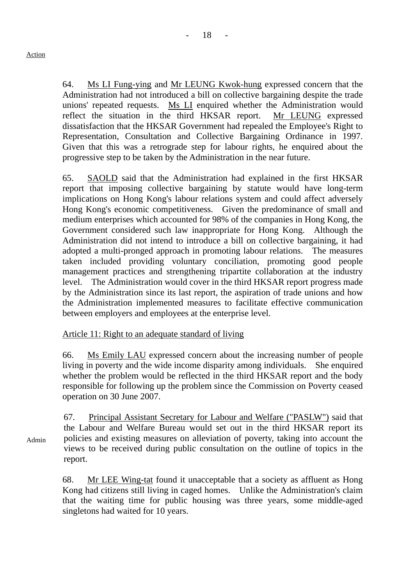64. Ms LI Fung-ying and Mr LEUNG Kwok-hung expressed concern that the Administration had not introduced a bill on collective bargaining despite the trade unions' repeated requests. Ms LI enquired whether the Administration would reflect the situation in the third HKSAR report. Mr LEUNG expressed dissatisfaction that the HKSAR Government had repealed the Employee's Right to Representation, Consultation and Collective Bargaining Ordinance in 1997. Given that this was a retrograde step for labour rights, he enquired about the progressive step to be taken by the Administration in the near future.

65. SAOLD said that the Administration had explained in the first HKSAR report that imposing collective bargaining by statute would have long-term implications on Hong Kong's labour relations system and could affect adversely Hong Kong's economic competitiveness. Given the predominance of small and medium enterprises which accounted for 98% of the companies in Hong Kong, the Government considered such law inappropriate for Hong Kong. Although the Administration did not intend to introduce a bill on collective bargaining, it had adopted a multi-pronged approach in promoting labour relations. The measures taken included providing voluntary conciliation, promoting good people management practices and strengthening tripartite collaboration at the industry level. The Administration would cover in the third HKSAR report progress made by the Administration since its last report, the aspiration of trade unions and how the Administration implemented measures to facilitate effective communication between employers and employees at the enterprise level.

## Article 11: Right to an adequate standard of living

66. Ms Emily LAU expressed concern about the increasing number of people living in poverty and the wide income disparity among individuals. She enquired whether the problem would be reflected in the third HKSAR report and the body responsible for following up the problem since the Commission on Poverty ceased operation on 30 June 2007.

67. Principal Assistant Secretary for Labour and Welfare ("PASLW") said that the Labour and Welfare Bureau would set out in the third HKSAR report its policies and existing measures on alleviation of poverty, taking into account the views to be received during public consultation on the outline of topics in the report.

68. Mr LEE Wing-tat found it unacceptable that a society as affluent as Hong Kong had citizens still living in caged homes. Unlike the Administration's claim that the waiting time for public housing was three years, some middle-aged singletons had waited for 10 years.

Admin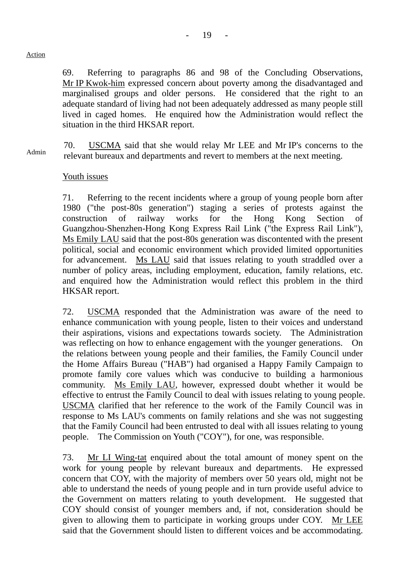69. Referring to paragraphs 86 and 98 of the Concluding Observations, Mr IP Kwok-him expressed concern about poverty among the disadvantaged and marginalised groups and older persons. He considered that the right to an adequate standard of living had not been adequately addressed as many people still lived in caged homes. He enquired how the Administration would reflect the situation in the third HKSAR report.

Admin 70. USCMA said that she would relay Mr LEE and Mr IP's concerns to the relevant bureaux and departments and revert to members at the next meeting.

## Youth issues

71. Referring to the recent incidents where a group of young people born after 1980 ("the post-80s generation") staging a series of protests against the construction of railway works for the Hong Kong Section of Guangzhou-Shenzhen-Hong Kong Express Rail Link ("the Express Rail Link"), Ms Emily LAU said that the post-80s generation was discontented with the present political, social and economic environment which provided limited opportunities for advancement. Ms LAU said that issues relating to youth straddled over a number of policy areas, including employment, education, family relations, etc. and enquired how the Administration would reflect this problem in the third HKSAR report.

72. USCMA responded that the Administration was aware of the need to enhance communication with young people, listen to their voices and understand their aspirations, visions and expectations towards society. The Administration was reflecting on how to enhance engagement with the younger generations. On the relations between young people and their families, the Family Council under the Home Affairs Bureau ("HAB") had organised a Happy Family Campaign to promote family core values which was conducive to building a harmonious community. Ms Emily LAU, however, expressed doubt whether it would be effective to entrust the Family Council to deal with issues relating to young people. USCMA clarified that her reference to the work of the Family Council was in response to Ms LAU's comments on family relations and she was not suggesting that the Family Council had been entrusted to deal with all issues relating to young people. The Commission on Youth ("COY"), for one, was responsible.

73. Mr LI Wing-tat enquired about the total amount of money spent on the work for young people by relevant bureaux and departments. He expressed concern that COY, with the majority of members over 50 years old, might not be able to understand the needs of young people and in turn provide useful advice to the Government on matters relating to youth development. He suggested that COY should consist of younger members and, if not, consideration should be given to allowing them to participate in working groups under COY. Mr LEE said that the Government should listen to different voices and be accommodating.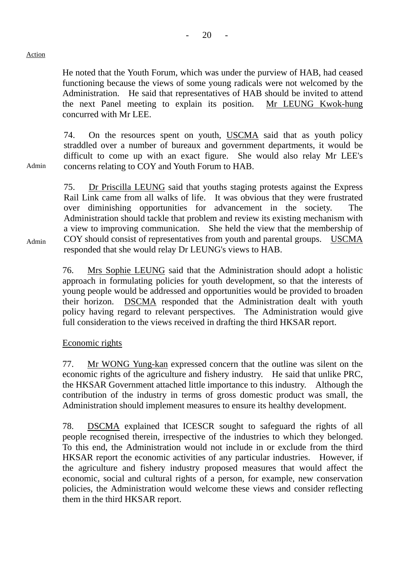He noted that the Youth Forum, which was under the purview of HAB, had ceased functioning because the views of some young radicals were not welcomed by the Administration. He said that representatives of HAB should be invited to attend the next Panel meeting to explain its position. Mr LEUNG Kwok-hung concurred with Mr LEE.

74. On the resources spent on youth, USCMA said that as youth policy straddled over a number of bureaux and government departments, it would be difficult to come up with an exact figure. She would also relay Mr LEE's concerns relating to COY and Youth Forum to HAB.

75. Dr Priscilla LEUNG said that youths staging protests against the Express Rail Link came from all walks of life. It was obvious that they were frustrated over diminishing opportunities for advancement in the society. The Administration should tackle that problem and review its existing mechanism with a view to improving communication. She held the view that the membership of COY should consist of representatives from youth and parental groups. USCMA responded that she would relay Dr LEUNG's views to HAB.

76. Mrs Sophie LEUNG said that the Administration should adopt a holistic approach in formulating policies for youth development, so that the interests of young people would be addressed and opportunities would be provided to broaden their horizon. DSCMA responded that the Administration dealt with youth policy having regard to relevant perspectives. The Administration would give full consideration to the views received in drafting the third HKSAR report.

## Economic rights

77. Mr WONG Yung-kan expressed concern that the outline was silent on the economic rights of the agriculture and fishery industry. He said that unlike PRC, the HKSAR Government attached little importance to this industry. Although the contribution of the industry in terms of gross domestic product was small, the Administration should implement measures to ensure its healthy development.

78. DSCMA explained that ICESCR sought to safeguard the rights of all people recognised therein, irrespective of the industries to which they belonged. To this end, the Administration would not include in or exclude from the third HKSAR report the economic activities of any particular industries. However, if the agriculture and fishery industry proposed measures that would affect the economic, social and cultural rights of a person, for example, new conservation policies, the Administration would welcome these views and consider reflecting them in the third HKSAR report.

Admin

Admin